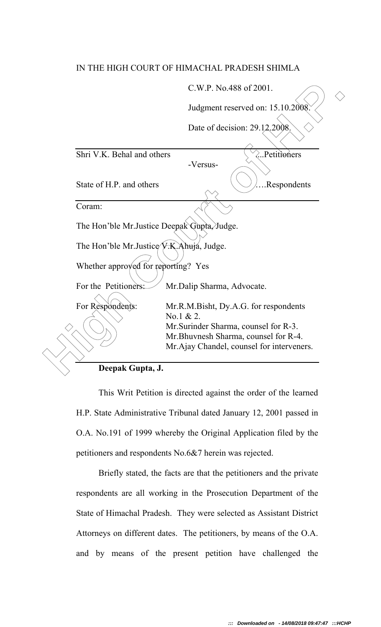## IN THE HIGH COURT OF HIMACHAL PRADESH SHIMLA

|                                                                 | C.W.P. No.488 of 2001.                                                                                                      |
|-----------------------------------------------------------------|-----------------------------------------------------------------------------------------------------------------------------|
|                                                                 | Judgment reserved on: 15.10.2008.                                                                                           |
|                                                                 | Date of decision: 29.12,2008.                                                                                               |
| Shri V.K. Behal and others                                      | .Petitioners<br>-Versus-                                                                                                    |
| State of H.P. and others                                        | .Respondents                                                                                                                |
| Coram:                                                          |                                                                                                                             |
| The Hon'ble Mr. Justice Deepak Gupta, Judge.                    |                                                                                                                             |
| The Hon'ble Mr.Justice V.K. Ahujá, Judge.                       |                                                                                                                             |
| Whether approved for reporting? Yes                             |                                                                                                                             |
| For the Petitioners:                                            | Mr.Dalip Sharma, Advocate.                                                                                                  |
| For Respondents:                                                | Mr.R.M.Bisht, Dy.A.G. for respondents<br>No.1 & 2.                                                                          |
|                                                                 | Mr. Surinder Sharma, counsel for R-3.<br>Mr. Bhuvnesh Sharma, counsel for R-4.<br>Mr.Ajay Chandel, counsel for interveners. |
| Deepak Gupta, J.                                                |                                                                                                                             |
| This Writ Petition is directed against the order of the learned |                                                                                                                             |

This Writ Petition is directed against the order of the learned H.P. State Administrative Tribunal dated January 12, 2001 passed in O.A. No.191 of 1999 whereby the Original Application filed by the petitioners and respondents No.6&7 herein was rejected.

Briefly stated, the facts are that the petitioners and the private respondents are all working in the Prosecution Department of the State of Himachal Pradesh. They were selected as Assistant District Attorneys on different dates. The petitioners, by means of the O.A. and by means of the present petition have challenged the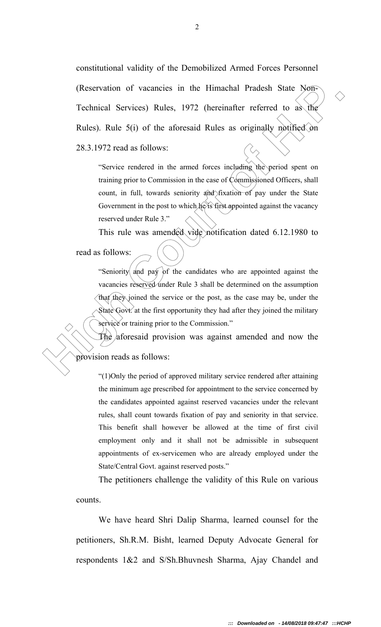(Reservation of vacancies in the Himachal Pradesh State N66)<br> **Technical Services**) Rules, 1972 (hereinafter referred to as the<br>
Rules). Rule 5(i) of the aforesaid Rules as originally polified for<br>
28.3.1972 read as follo constitutional validity of the Demobilized Armed Forces Personnel (Reservation of vacancies in the Himachal Pradesh State Non-Technical Services) Rules, 1972 (hereinafter referred to as the Rules). Rule 5(i) of the aforesaid Rules as originally notified on 28.3.1972 read as follows:

"Service rendered in the armed forces including the period spent on training prior to Commission in the case of Commissioned Officers, shall count, in full, towards seniority and fixation of pay under the State Government in the post to which he is first appointed against the vacancy reserved under Rule 3."

This rule was amended vide notification dated 6.12.1980 to

read as follows:

"Seniority and pay of the candidates who are appointed against the vacancies reserved under Rule 3 shall be determined on the assumption that they joined the service or the post, as the case may be, under the State Govt. at the first opportunity they had after they joined the military service or training prior to the Commission."

The aforesaid provision was against amended and now the

provision reads as follows:

"(1)Only the period of approved military service rendered after attaining the minimum age prescribed for appointment to the service concerned by the candidates appointed against reserved vacancies under the relevant rules, shall count towards fixation of pay and seniority in that service. This benefit shall however be allowed at the time of first civil employment only and it shall not be admissible in subsequent appointments of ex-servicemen who are already employed under the State/Central Govt. against reserved posts."

The petitioners challenge the validity of this Rule on various counts.

We have heard Shri Dalip Sharma, learned counsel for the petitioners, Sh.R.M. Bisht, learned Deputy Advocate General for respondents 1&2 and S/Sh.Bhuvnesh Sharma, Ajay Chandel and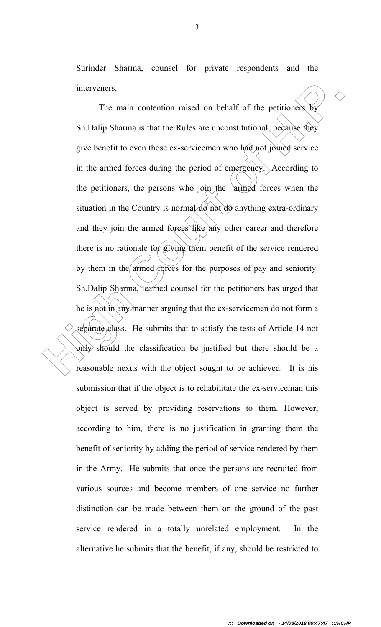Surinder Sharma, counsel for private respondents and the interveners.

The main contention raised on behalf of the petitioners by<br>
Sh.Dalip Shama is that the Rules are unconstitutional, because they<br>
give benefit to even those ex-servicemen who had not joined service<br>
in the armed forces dur The main contention raised on behalf of the petitioners by Sh.Dalip Sharma is that the Rules are unconstitutional because they give benefit to even those ex-servicemen who had not joined service in the armed forces during the period of emergency. According to the petitioners, the persons who join the armed forces when the situation in the Country is normal  $\overline{d\phi}$  not  $\overline{d\phi}$  anything extra-ordinary and they join the armed forces like any other career and therefore there is no rationale for giving them benefit of the service rendered by them in the armed forces for the purposes of pay and seniority. Sh.Dalip Sharma, learned counsel for the petitioners has urged that he is not in any manner arguing that the ex-servicemen do not form a separate class. He submits that to satisfy the tests of Article 14 not only should the classification be justified but there should be a reasonable nexus with the object sought to be achieved. It is his submission that if the object is to rehabilitate the ex-serviceman this object is served by providing reservations to them. However, according to him, there is no justification in granting them the benefit of seniority by adding the period of service rendered by them in the Army. He submits that once the persons are recruited from various sources and become members of one service no further distinction can be made between them on the ground of the past service rendered in a totally unrelated employment. In the alternative he submits that the benefit, if any, should be restricted to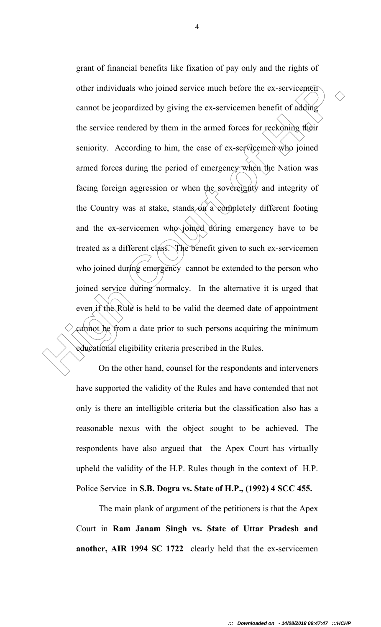other individuals who joined service much before the ex-servicements<br>
cannot be jeopardized by giving the ex-servicement benefit of adding<br>
the service rendered by them in the armed forces for reckloning their<br>
servicity. grant of financial benefits like fixation of pay only and the rights of other individuals who joined service much before the ex-servicemen cannot be jeopardized by giving the ex-servicemen benefit of adding the service rendered by them in the armed forces for reckoning their seniority. According to him, the case of ex-servicemen who joined armed forces during the period of emergency when the Nation was facing foreign aggression or when the sovereignty and integrity of the Country was at stake, stands on a completely different footing and the ex-servicemen who joined during emergency have to be treated as a different class. The benefit given to such ex-servicemen who joined during emergency cannot be extended to the person who joined service during normalcy. In the alternative it is urged that even if the Rule is held to be valid the deemed date of appointment cannot be from a date prior to such persons acquiring the minimum educational eligibility criteria prescribed in the Rules.

On the other hand, counsel for the respondents and interveners have supported the validity of the Rules and have contended that not only is there an intelligible criteria but the classification also has a reasonable nexus with the object sought to be achieved. The respondents have also argued that the Apex Court has virtually upheld the validity of the H.P. Rules though in the context of H.P. Police Service in **S.B. Dogra vs. State of H.P., (1992) 4 SCC 455.**

The main plank of argument of the petitioners is that the Apex Court in **Ram Janam Singh vs. State of Uttar Pradesh and another, AIR 1994 SC 1722** clearly held that the ex-servicemen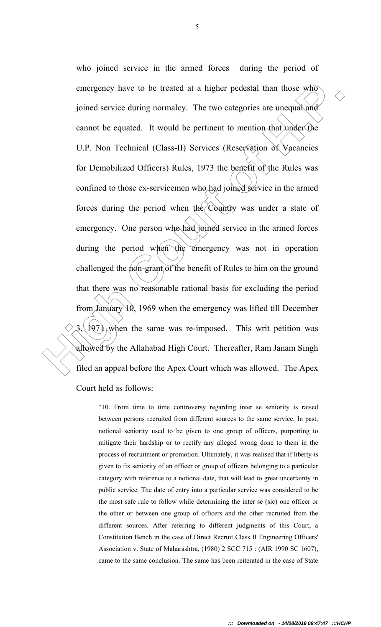emergency have to be treated at a higher pedestal than those who<br>
joined service during normalcy. The two categories are unequal and<br>
cannot be equated. It would be pertinent to mention that under the<br>
U.P. Non Technical who joined service in the armed forces during the period of emergency have to be treated at a higher pedestal than those who joined service during normalcy. The two categories are unequal and cannot be equated. It would be pertinent to mention that under the U.P. Non Technical (Class-II) Services (Reservation of Vacancies for Demobilized Officers) Rules, 1973 the benefit of the Rules was confined to those ex-servicemen who had joined service in the armed forces during the period when the Country was under a state of emergency. One person who had joined service in the armed forces during the period when the emergency was not in operation challenged the  $\eta$  n-grant of the benefit of Rules to him on the ground that there was no reasonable rational basis for excluding the period from January 10, 1969 when the emergency was lifted till December  $3$ , 1971, when the same was re-imposed. This writ petition was allowed by the Allahabad High Court. Thereafter, Ram Janam Singh filed an appeal before the Apex Court which was allowed. The Apex Court held as follows:

"10. From time to time controversy regarding inter se seniority is raised between persons recruited from different sources to the same service. In past, notional seniority used to be given to one group of officers, purporting to mitigate their hardship or to rectify any alleged wrong done to them in the process of recruitment or promotion. Ultimately, it was realised that if liberty is given to fix seniority of an officer or group of officers belonging to a particular category with reference to a notional date, that will lead to great uncertainty in public service. The date of entry into a particular service was considered to be the most safe rule to follow while determining the inter se (sic) one officer or the other or between one group of officers and the other recruited from the different sources. After referring to different judgments of this Court, a Constitution Bench in the case of Direct Recruit Class II Engineering Officers' Association v. State of Maharashtra, (1980) 2 SCC 715 : (AIR 1990 SC 1607), came to the same conclusion. The same has been reiterated in the case of State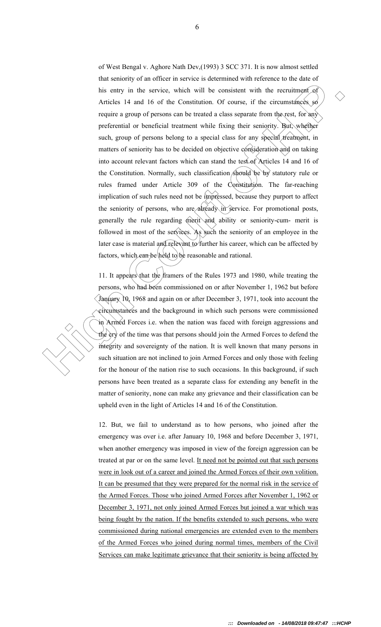This entry in the service, which will be consistent with the recruitment<br>Conditions of the constitution. Of course, if the criterionships<br>experience are propored proportions can be treated a chase spectral form the<br>need t of West Bengal v. Aghore Nath Dev,(1993) 3 SCC 371. It is now almost settled that seniority of an officer in service is determined with reference to the date of his entry in the service, which will be consistent with the recruitment of Articles 14 and 16 of the Constitution. Of course, if the circumstances so require a group of persons can be treated a class separate from the rest, for any preferential or beneficial treatment while fixing their seniority. But, whether such, group of persons belong to a special class for any special treatment, in matters of seniority has to be decided on objective consideration and on taking into account relevant factors which can stand the test of Articles 14 and 16 of the Constitution. Normally, such classification should be by statutory rule or rules framed under Article 309 of the Constitution. The far-reaching implication of such rules need not be impressed, because they purport to affect the seniority of persons, who are already in service. For promotional posts, generally the rule regarding merit and ability or seniority-cum- merit is followed in most of the services. As such the seniority of an employee in the later case is material and relevant to further his career, which can be affected by factors, which can be held to be reasonable and rational.

11. It appears that the framers of the Rules 1973 and 1980, while treating the persons, who had been commissioned on or after November 1, 1962 but before January 10, 1968 and again on or after December 3, 1971, took into account the circumstances and the background in which such persons were commissioned in Armed Forces i.e. when the nation was faced with foreign aggressions and the  $\gamma$  of the time was that persons should join the Armed Forces to defend the integrity and sovereignty of the nation. It is well known that many persons in such situation are not inclined to join Armed Forces and only those with feeling for the honour of the nation rise to such occasions. In this background, if such persons have been treated as a separate class for extending any benefit in the matter of seniority, none can make any grievance and their classification can be upheld even in the light of Articles 14 and 16 of the Constitution.

12. But, we fail to understand as to how persons, who joined after the emergency was over i.e. after January 10, 1968 and before December 3, 1971, when another emergency was imposed in view of the foreign aggression can be treated at par or on the same level. It need not be pointed out that such persons were in look out of a career and joined the Armed Forces of their own volition. It can be presumed that they were prepared for the normal risk in the service of the Armed Forces. Those who joined Armed Forces after November 1, 1962 or December 3, 1971, not only joined Armed Forces but joined a war which was being fought by the nation. If the benefits extended to such persons, who were commissioned during national emergencies are extended even to the members of the Armed Forces who joined during normal times, members of the Civil Services can make legitimate grievance that their seniority is being affected by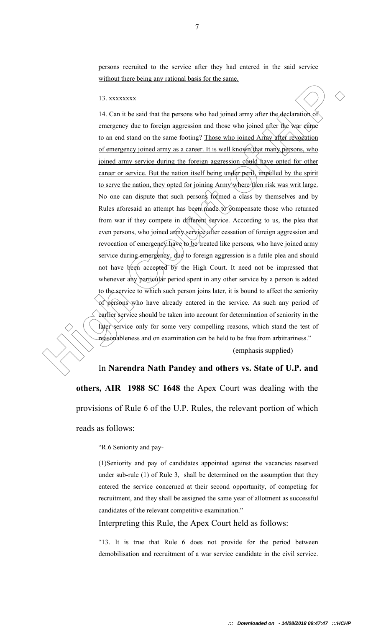persons recruited to the service after they had entered in the said service without there being any rational basis for the same.

13. xxxxxxxx

**H** a. Constant that the persons who badjoined army after the declaration of each arm is because the content of the same for the same for the same  $\alpha$  and  $\alpha$  are  $\alpha$  and  $\alpha$  are  $\alpha$  and  $\alpha$  are  $\alpha$  and  $\alpha$  and  $\$ 14. Can it be said that the persons who had joined army after the declaration of emergency due to foreign aggression and those who joined after the war came to an end stand on the same footing? Those who joined Army after revocation of emergency joined army as a career. It is well known that many persons, who joined army service during the foreign aggression could have opted for other career or service. But the nation itself being under peril, impelled by the spirit to serve the nation, they opted for joining Army where then risk was writ large. No one can dispute that such persons formed a class by themselves and by Rules aforesaid an attempt has been made to compensate those who returned from war if they compete in different service. According to us, the plea that even persons, who joined army service after cessation of foreign aggression and revocation of emergency have to be treated like persons, who have joined army service during emergency, due to foreign aggression is a futile plea and should not have been accepted by the High Court. It need not be impressed that whenever any particular period spent in any other service by a person is added to the service to which such person joins later, it is bound to affect the seniority of persons who have already entered in the service. As such any period of earlier service should be taken into account for determination of seniority in the later service only for some very compelling reasons, which stand the test of reasonableness and on examination can be held to be free from arbitrariness."

(emphasis supplied)

In **Narendra Nath Pandey and others vs. State of U.P. and others, AIR 1988 SC 1648** the Apex Court was dealing with the provisions of Rule 6 of the U.P. Rules, the relevant portion of which reads as follows:

"R.6 Seniority and pay-

(1)Seniority and pay of candidates appointed against the vacancies reserved under sub-rule (1) of Rule 3, shall be determined on the assumption that they entered the service concerned at their second opportunity, of competing for recruitment, and they shall be assigned the same year of allotment as successful candidates of the relevant competitive examination."

Interpreting this Rule, the Apex Court held as follows:

"13. It is true that Rule 6 does not provide for the period between demobilisation and recruitment of a war service candidate in the civil service.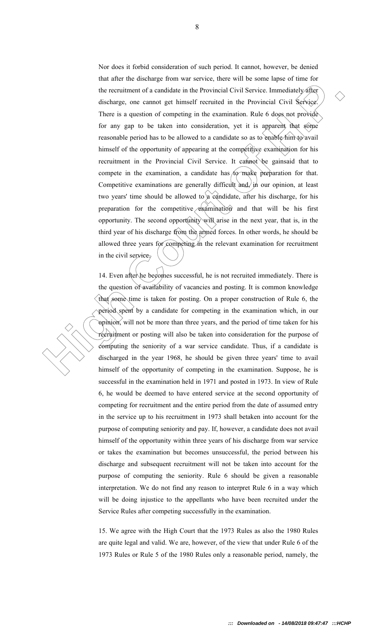the recruitment of a candidate in the Provincial Civil Service. Immediately directions are compared to the protocol of the protocol of the service of the service of the service of the service of the service of the service Nor does it forbid consideration of such period. It cannot, however, be denied that after the discharge from war service, there will be some lapse of time for the recruitment of a candidate in the Provincial Civil Service. Immediately after discharge, one cannot get himself recruited in the Provincial Civil Service. There is a question of competing in the examination. Rule 6 does not provide for any gap to be taken into consideration, yet it is apparent that some reasonable period has to be allowed to a candidate so as to enable him to avail himself of the opportunity of appearing at the competitive examination for his recruitment in the Provincial Civil Service. It cannot be gainsaid that to compete in the examination, a candidate has  $f_0$  make preparation for that. Competitive examinations are generally difficult and, in our opinion, at least two years' time should be allowed to a candidate, after his discharge, for his preparation for the competitive  $\&$  and that will be his first opportunity. The second opportunity will arise in the next year, that is, in the third year of his discharge from the armed forces. In other words, he should be allowed three years for competing in the relevant examination for recruitment in the civil service.

14. Even after he becomes successful, he is not recruited immediately. There is the question of availability of vacancies and posting. It is common knowledge that some time is taken for posting. On a proper construction of Rule 6, the period spent by a candidate for competing in the examination which, in our opinion, will not be more than three years, and the period of time taken for his recruitment or posting will also be taken into consideration for the purpose of computing the seniority of a war service candidate. Thus, if a candidate is discharged in the year 1968, he should be given three years' time to avail himself of the opportunity of competing in the examination. Suppose, he is successful in the examination held in 1971 and posted in 1973. In view of Rule 6, he would be deemed to have entered service at the second opportunity of competing for recruitment and the entire period from the date of assumed entry in the service up to his recruitment in 1973 shall betaken into account for the purpose of computing seniority and pay. If, however, a candidate does not avail himself of the opportunity within three years of his discharge from war service or takes the examination but becomes unsuccessful, the period between his discharge and subsequent recruitment will not be taken into account for the purpose of computing the seniority. Rule 6 should be given a reasonable interpretation. We do not find any reason to interpret Rule 6 in a way which will be doing injustice to the appellants who have been recruited under the Service Rules after competing successfully in the examination.

15. We agree with the High Court that the 1973 Rules as also the 1980 Rules are quite legal and valid. We are, however, of the view that under Rule 6 of the 1973 Rules or Rule 5 of the 1980 Rules only a reasonable period, namely, the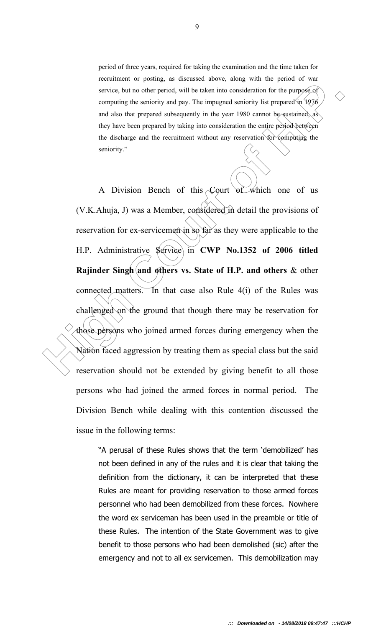period of three years, required for taking the examination and the time taken for recruitment or posting, as discussed above, along with the period of war service, but no other period, will be taken into consideration for the purpose-of computing the seniority and pay. The impugned seniority list prepared in 1976 and also that prepared subsequently in the year 1980 cannot be sustained, as they have been prepared by taking into consideration the entire period between the discharge and the recruitment without any reservation for computing the seniority."

**Example 12** and the set of H.P. Administrative period, by the impact of the period of the period of the period of the period of the period of the period and also that peperod anisotic period between the set of the period A Division Bench of this Court of which one of us (V.K.Ahuja, J) was a Member, considered in detail the provisions of reservation for ex-servicemen in so far as they were applicable to the H.P. Administrative Service in **CWP No.1352 of 2006 titled Rajinder Singh and others vs. State of H.P. and others & other** connected matters. In that case also Rule 4(i) of the Rules was challenged on the ground that though there may be reservation for those persons who joined armed forces during emergency when the Nation faced aggression by treating them as special class but the said reservation should not be extended by giving benefit to all those persons who had joined the armed forces in normal period. The Division Bench while dealing with this contention discussed the issue in the following terms:

> "A perusal of these Rules shows that the term 'demobilized' has not been defined in any of the rules and it is clear that taking the definition from the dictionary, it can be interpreted that these Rules are meant for providing reservation to those armed forces personnel who had been demobilized from these forces. Nowhere the word ex serviceman has been used in the preamble or title of these Rules. The intention of the State Government was to give benefit to those persons who had been demolished (sic) after the emergency and not to all ex servicemen. This demobilization may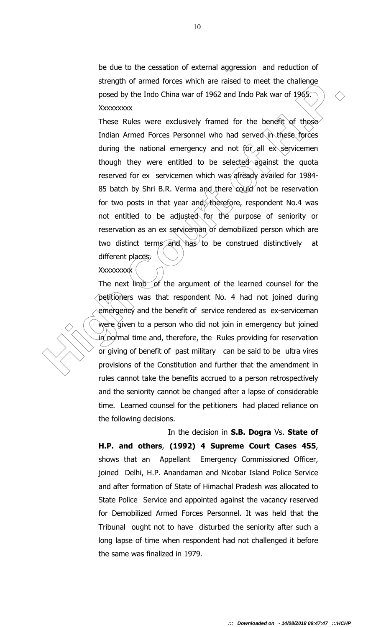be due to the cessation of external aggression and reduction of strength of armed forces which are raised to meet the challenge posed by the Indo China war of 1962 and Indo Pak war of 1965. Xxxxxxxxx

being in of annear bottom and a method of the court of the court of the court of the court of the court of the court of the court of the court of the court of the court of the court of the court of the court of the court These Rules were exclusively framed for the benefit of those Indian Armed Forces Personnel who had served in these forces during the national emergency and not for all ex servicemen though they were entitled to be selected against the quota reserved for ex servicemen which was already availed for 1984-85 batch by Shri B.R. Verma and there could not be reservation for two posts in that year and, therefore, respondent No.4 was not entitled to be adjusted for the purpose of seniority or reservation as an ex serviceman or demobilized person which are two distinct terms and has to be construed distinctively at different places. Xxxxxxxxx

## The next limb of the argument of the learned counsel for the petitioners was that respondent No. 4 had not joined during emergency and the benefit of service rendered as ex-serviceman were given to a person who did not join in emergency but joined in normal time and, therefore, the Rules providing for reservation or giving of benefit of past military can be said to be ultra vires provisions of the Constitution and further that the amendment in rules cannot take the benefits accrued to a person retrospectively and the seniority cannot be changed after a lapse of considerable time. Learned counsel for the petitioners had placed reliance on the following decisions.

 In the decision in **S.B. Dogra** Vs. **State of H.P. and others**, **(1992) 4 Supreme Court Cases 455**, shows that an Appellant Emergency Commissioned Officer, joined Delhi, H.P. Anandaman and Nicobar Island Police Service and after formation of State of Himachal Pradesh was allocated to State Police Service and appointed against the vacancy reserved for Demobilized Armed Forces Personnel. It was held that the Tribunal ought not to have disturbed the seniority after such a long lapse of time when respondent had not challenged it before the same was finalized in 1979.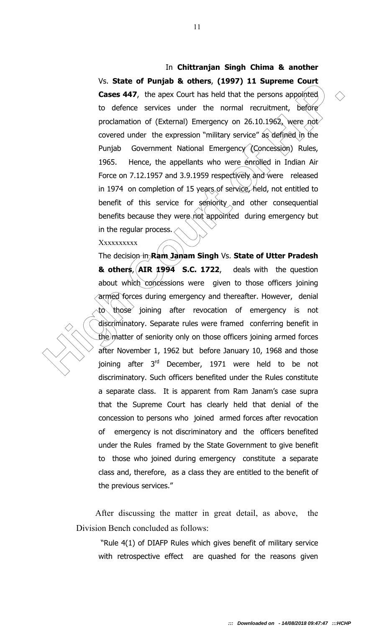## **Example 10 Court and the set of the set of the set of the set of the set of the set of the set of the set of the set of the proofs appointed of cateral behavior of (External) Emergency on 26.10.1962, were** *not* **covered**  In **Chittranjan Singh Chima & another** Vs. **State of Punjab & others**, **(1997) 11 Supreme Court Cases 447**, the apex Court has held that the persons appointed to defence services under the normal recruitment, before proclamation of (External) Emergency on 26.10.1962, were not covered under the expression "military service" as defined in the Punjab Government National Emergency (Concession) Rules, 1965. Hence, the appellants who were enrolled in Indian Air Force on 7.12.1957 and 3.9.1959 respectively and were released in 1974 on completion of 15 years of service, held, not entitled to benefit of this service for  $\sinh(y)$  and other consequential benefits because they were not appointed during emergency but in the regular process.

## Xxxxxxxxx

The decision in **Ram Janam Singh** Vs. **State of Utter Pradesh & others**, **AIR 1994 S.C. 1722**, deals with the question about which concessions were given to those officers joining armed forces during emergency and thereafter. However, denial to those joining after revocation of emergency is not discriminatory. Separate rules were framed conferring benefit in the matter of seniority only on those officers joining armed forces after November 1, 1962 but before January 10, 1968 and those joining after  $3<sup>rd</sup>$  December, 1971 were held to be not discriminatory. Such officers benefited under the Rules constitute a separate class. It is apparent from Ram Janam's case supra that the Supreme Court has clearly held that denial of the concession to persons who joined armed forces after revocation of emergency is not discriminatory and the officers benefited under the Rules framed by the State Government to give benefit to those who joined during emergency constitute a separate class and, therefore, as a class they are entitled to the benefit of the previous services."

 After discussing the matter in great detail, as above, the Division Bench concluded as follows:

 "Rule 4(1) of DIAFP Rules which gives benefit of military service with retrospective effect are quashed for the reasons given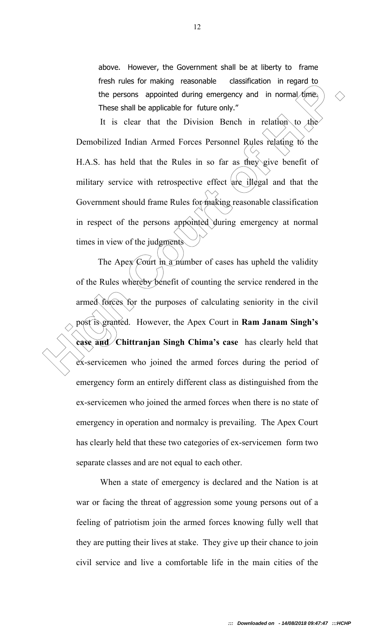above. However, the Government shall be at liberty to frame fresh rules for making reasonable classification in regard to the persons appointed during emergency and in normal time. These shall be applicable for future only."

It is clear that the Division Bench in relation to the Demobilized Indian Armed Forces Personnel Rules relating to the H.A.S. has held that the Rules in so far as they give benefit of military service with retrospective effect are illegal and that the Government should frame Rules for making reasonable classification in respect of the persons appointed during emergency at normal times in view of the judgments

Hest ritues of intending **Presentation Cassuation Cassuation Cause the persons appointed during emergency and in normal times**  $\Diamond$  Threse shall be applicable for future only."<br>
It is clear that the Division Bench in The Apex Court in a number of cases has upheld the validity of the Rules whereby benefit of counting the service rendered in the armed forces for the purposes of calculating seniority in the civil post is granted. However, the Apex Court in **Ram Janam Singh's case and Chittranjan Singh Chima's case** has clearly held that ex-servicemen who joined the armed forces during the period of emergency form an entirely different class as distinguished from the ex-servicemen who joined the armed forces when there is no state of emergency in operation and normalcy is prevailing. The Apex Court has clearly held that these two categories of ex-servicemen form two separate classes and are not equal to each other.

> When a state of emergency is declared and the Nation is at war or facing the threat of aggression some young persons out of a feeling of patriotism join the armed forces knowing fully well that they are putting their lives at stake. They give up their chance to join civil service and live a comfortable life in the main cities of the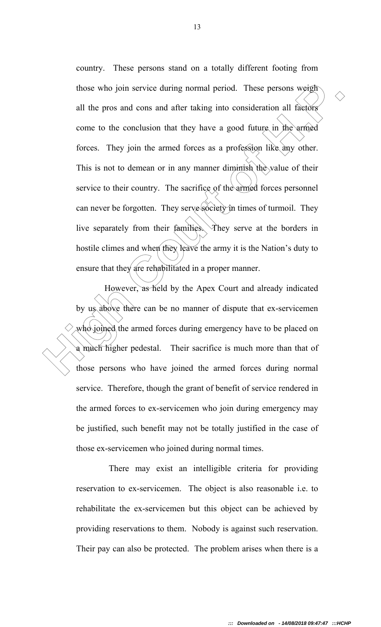those who join service during normal period. These persons weight<br>all the pros and cons and after taking into consideration all factors<br>come to the conclusion that they have a good future, in the arrived<br>forces. They join country. These persons stand on a totally different footing from those who join service during normal period. These persons weigh all the pros and cons and after taking into consideration all factors come to the conclusion that they have a good future in the armed forces. They join the armed forces as a profession like any other. This is not to demean or in any manner diminish the value of their service to their country. The sacrifice of the armed forces personnel can never be forgotten. They serve society in times of turmoil. They live separately from their families. They serve at the borders in hostile climes and when they leave the army it is the Nation's duty to ensure that they are rehabilitated in a proper manner.

 However, as held by the Apex Court and already indicated by us above there can be no manner of dispute that ex-servicemen who joined the armed forces during emergency have to be placed on a much higher pedestal. Their sacrifice is much more than that of those persons who have joined the armed forces during normal service. Therefore, though the grant of benefit of service rendered in the armed forces to ex-servicemen who join during emergency may be justified, such benefit may not be totally justified in the case of those ex-servicemen who joined during normal times.

 There may exist an intelligible criteria for providing reservation to ex-servicemen. The object is also reasonable i.e. to rehabilitate the ex-servicemen but this object can be achieved by providing reservations to them. Nobody is against such reservation. Their pay can also be protected. The problem arises when there is a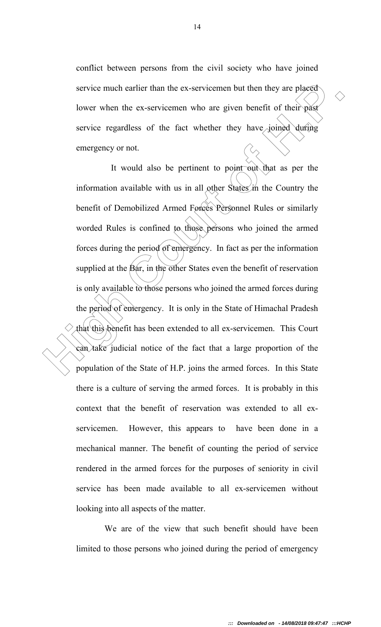conflict between persons from the civil society who have joined service much earlier than the ex-servicemen but then they are placed lower when the ex-servicemen who are given benefit of their past service regardless of the fact whether they have joined during emergency or not.

service much earlier than the ex-servicemen but then they are placed<br>lower when the ex-servicemen who are given benefit of their past<br>service regardless of the fact whether they have joined during<br>emergency or not.<br>It wou It would also be pertinent to point out that as per the information available with us in all other States in the Country the benefit of Demobilized Armed Forces Personnel Rules or similarly worded Rules is confined to those persons who joined the armed forces during the period of emergency. In fact as per the information supplied at the  $B\alpha r$ , in the other States even the benefit of reservation is only available to those persons who joined the armed forces during the period of emergency. It is only in the State of Himachal Pradesh that this benefit has been extended to all ex-servicemen. This Court can take judicial notice of the fact that a large proportion of the population of the State of H.P. joins the armed forces. In this State there is a culture of serving the armed forces. It is probably in this context that the benefit of reservation was extended to all exservicemen. However, this appears to have been done in a mechanical manner. The benefit of counting the period of service rendered in the armed forces for the purposes of seniority in civil service has been made available to all ex-servicemen without looking into all aspects of the matter.

> We are of the view that such benefit should have been limited to those persons who joined during the period of emergency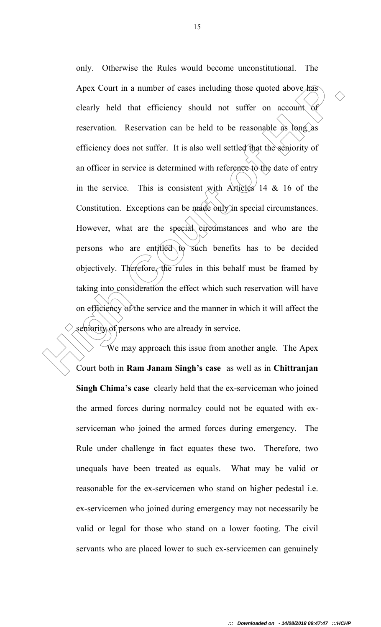Apex Court in a number of cases including those quoted above has<br>
clearly held that efficiency should not suffer on account of<br>
reservation. Reservation can be held to be reasonable as long as<br>
efficiency does not suffer. only. Otherwise the Rules would become unconstitutional. The Apex Court in a number of cases including those quoted above has clearly held that efficiency should not suffer on account of reservation. Reservation can be held to be reasonable as long as efficiency does not suffer. It is also well settled that the seniority of an officer in service is determined with reference to the date of entry in the service. This is consistent with Articles  $14 \& 16$  of the Constitution. Exceptions can be made only in special circumstances. However, what are the special circumstances and who are the persons who are entitled to such benefits has to be decided objectively. Therefore, the rules in this behalf must be framed by taking into consideration the effect which such reservation will have on efficiency of the service and the manner in which it will affect the seniority of persons who are already in service.

 We may approach this issue from another angle. The Apex Court both in **Ram Janam Singh's case** as well as in **Chittranjan Singh Chima's case** clearly held that the ex-serviceman who joined the armed forces during normalcy could not be equated with exserviceman who joined the armed forces during emergency. The Rule under challenge in fact equates these two. Therefore, two unequals have been treated as equals. What may be valid or reasonable for the ex-servicemen who stand on higher pedestal i.e. ex-servicemen who joined during emergency may not necessarily be valid or legal for those who stand on a lower footing. The civil servants who are placed lower to such ex-servicemen can genuinely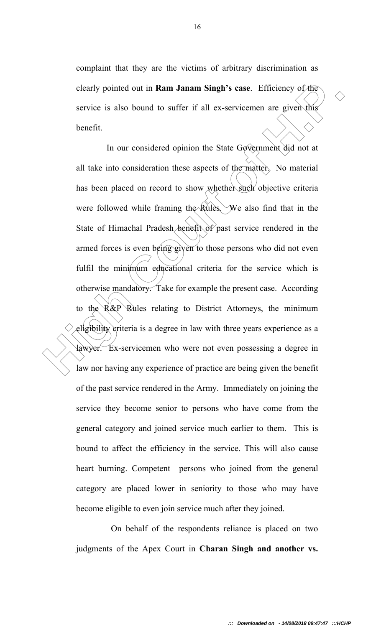complaint that they are the victims of arbitrary discrimination as clearly pointed out in **Ram Janam Singh's case**. Efficiency of the service is also bound to suffer if all ex-servicemen are given this benefit.

clearly pointed out in **Ram Janam Singh's case**. Efficiency of the<br>service is also bound to suffer if all ex-servicemen are given this<br>benefit.<br>In our considered opinion the State Government did not at<br>all take into consi In our considered opinion the State Government did not at all take into consideration these aspects of the matter. No material has been placed on record to show whether such objective criteria were followed while framing the Rules. We also find that in the State of Himachal Pradesh benefit of past service rendered in the armed forces is even being given to those persons who did not even fulfil the minimum educational criteria for the service which is otherwise mandatory. Take for example the present case. According to the  $R\&P$  Rules relating to District Attorneys, the minimum eligibility criteria is a degree in law with three years experience as a lawyer. Ex-servicemen who were not even possessing a degree in law nor having any experience of practice are being given the benefit of the past service rendered in the Army. Immediately on joining the service they become senior to persons who have come from the general category and joined service much earlier to them. This is bound to affect the efficiency in the service. This will also cause heart burning. Competent persons who joined from the general category are placed lower in seniority to those who may have become eligible to even join service much after they joined.

> On behalf of the respondents reliance is placed on two judgments of the Apex Court in **Charan Singh and another vs.**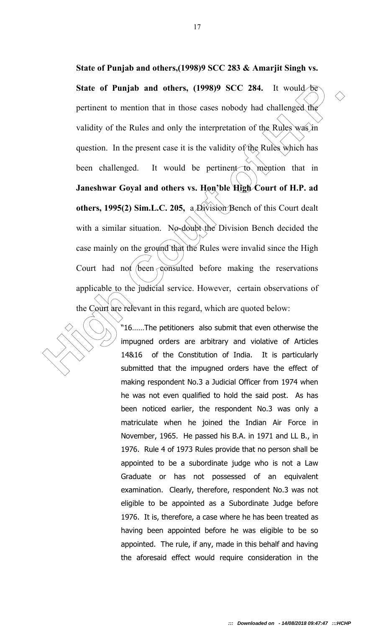State of Punjab and others, (1998)9 SCC 284. It would Formulate the performant to mention that in those cases nobody had challenged the validity of the Rules and only the interpretation of the Rules weat in question. In t **State of Punjab and others,(1998)9 SCC 283 & Amarjit Singh vs.**  State of Punjab and others, (1998)9 SCC 284. It would be pertinent to mention that in those cases nobody had challenged the validity of the Rules and only the interpretation of the Rules was in question. In the present case it is the validity of the Rules which has been challenged. It would be pertinent to mention that in **Janeshwar Goyal and others vs. Hon'ble High Court of H.P. ad others, 1995(2) Sim.L.C. 205,** a Division Bench of this Court dealt with a similar situation. No-doubt the Division Bench decided the case mainly on the ground that the Rules were invalid since the High Court had not been consulted before making the reservations applicable to the judicial service. However, certain observations of the Court are relevant in this regard, which are quoted below:

"16……The petitioners also submit that even otherwise the impugned orders are arbitrary and violative of Articles 14&16 of the Constitution of India. It is particularly submitted that the impugned orders have the effect of making respondent No.3 a Judicial Officer from 1974 when he was not even qualified to hold the said post. As has been noticed earlier, the respondent No.3 was only a matriculate when he joined the Indian Air Force in November, 1965. He passed his B.A. in 1971 and LL B., in 1976. Rule 4 of 1973 Rules provide that no person shall be appointed to be a subordinate judge who is not a Law Graduate or has not possessed of an equivalent examination. Clearly, therefore, respondent No.3 was not eligible to be appointed as a Subordinate Judge before 1976. It is, therefore, a case where he has been treated as having been appointed before he was eligible to be so appointed. The rule, if any, made in this behalf and having the aforesaid effect would require consideration in the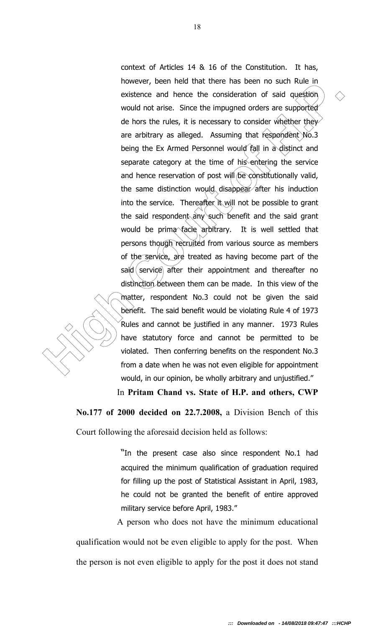Inverter, user including the consideration of said poeticine wisterne and hence the consideration of said question  $\sim$  would not arise. Since the impugned orders are supported de hors the rules, it is necessary to conside context of Articles 14 & 16 of the Constitution. It has, however, been held that there has been no such Rule in existence and hence the consideration of said question would not arise. Since the impugned orders are supported de hors the rules, it is necessary to consider whether they are arbitrary as alleged. Assuming that respondent No.3 being the Ex Armed Personnel would fall in a distinct and separate category at the time of his entering the service and hence reservation of post will be constitutionally valid, the same distinction would disappear after his induction into the service. Thereafter it will not be possible to grant the said respondent any such benefit and the said grant would be prima facie arbitrary. It is well settled that persons though recruited from various source as members of the service, are treated as having become part of the said service after their appointment and thereafter no distinction between them can be made. In this view of the matter, respondent No.3 could not be given the said benefit. The said benefit would be violating Rule 4 of 1973 Rules and cannot be justified in any manner. 1973 Rules have statutory force and cannot be permitted to be violated. Then conferring benefits on the respondent No.3 from a date when he was not even eligible for appointment would, in our opinion, be wholly arbitrary and unjustified."

In **Pritam Chand vs. State of H.P. and others, CWP** 

**No.177 of 2000 decided on 22.7.2008,** a Division Bench of this

Court following the aforesaid decision held as follows:

"In the present case also since respondent No.1 had acquired the minimum qualification of graduation required for filling up the post of Statistical Assistant in April, 1983, he could not be granted the benefit of entire approved military service before April, 1983."

 A person who does not have the minimum educational qualification would not be even eligible to apply for the post. When the person is not even eligible to apply for the post it does not stand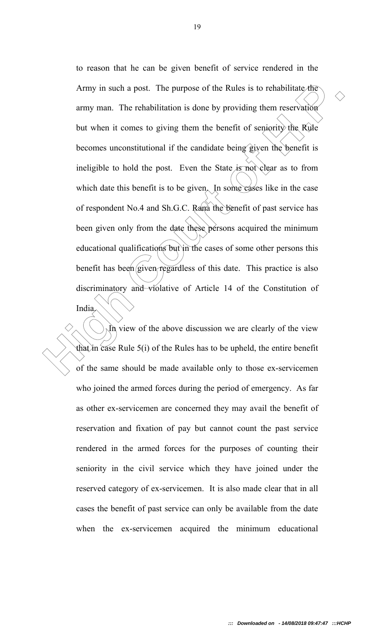Army in such a post. The purpose of the Rules is to rehabilitate the<br>army man. The rehabilitation is done by providing them reservation<br>but when it comes to giving them the benefit of semiority the Kide<br>becomes unconstitu to reason that he can be given benefit of service rendered in the Army in such a post. The purpose of the Rules is to rehabilitate the army man. The rehabilitation is done by providing them reservation but when it comes to giving them the benefit of seniority the Rule becomes unconstitutional if the candidate being given the benefit is ineligible to hold the post. Even the State is not clear as to from which date this benefit is to be given. In some cases like in the case of respondent No.4 and Sh.G.C. Rana the benefit of past service has been given only from the date these persons acquired the minimum educational qualifications but in the cases of some other persons this benefit has been given regardless of this date. This practice is also discriminatory and violative of Article 14 of the Constitution of India.

 $\hat{N}$  view of the above discussion we are clearly of the view that in case Rule 5(i) of the Rules has to be upheld, the entire benefit of the same should be made available only to those ex-servicemen who joined the armed forces during the period of emergency. As far as other ex-servicemen are concerned they may avail the benefit of reservation and fixation of pay but cannot count the past service rendered in the armed forces for the purposes of counting their seniority in the civil service which they have joined under the reserved category of ex-servicemen. It is also made clear that in all cases the benefit of past service can only be available from the date when the ex-servicemen acquired the minimum educational